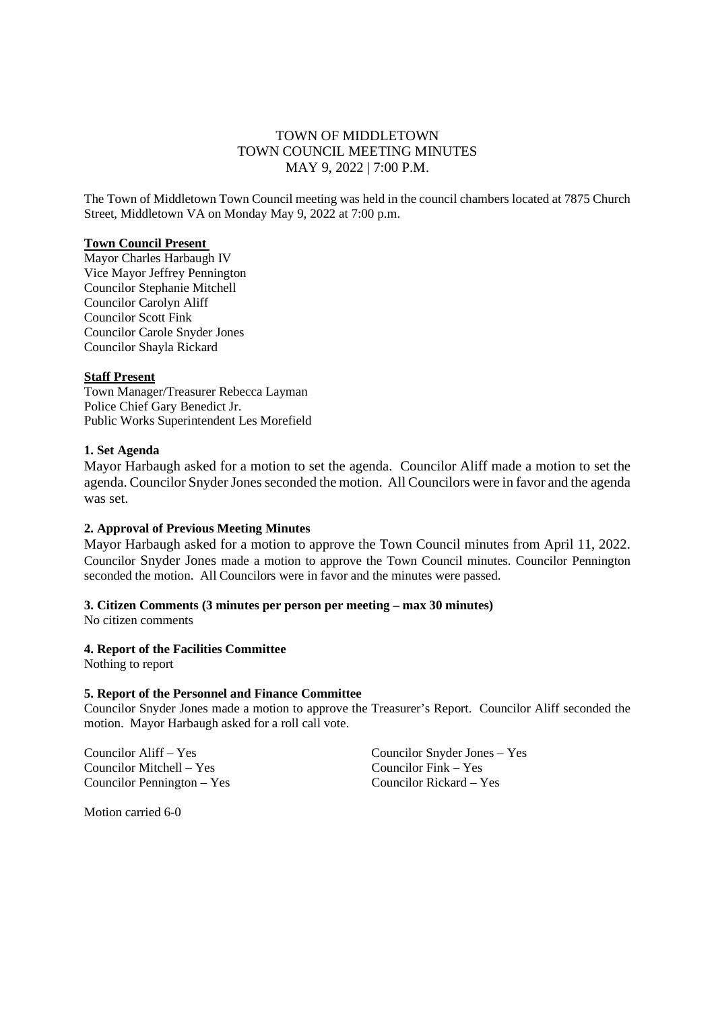# TOWN OF MIDDLETOWN TOWN COUNCIL MEETING MINUTES MAY 9, 2022 | 7:00 P.M.

The Town of Middletown Town Council meeting was held in the council chambers located at 7875 Church Street, Middletown VA on Monday May 9, 2022 at 7:00 p.m.

#### **Town Council Present**

Mayor Charles Harbaugh IV Vice Mayor Jeffrey Pennington Councilor Stephanie Mitchell Councilor Carolyn Aliff Councilor Scott Fink Councilor Carole Snyder Jones Councilor Shayla Rickard

#### **Staff Present**

Town Manager/Treasurer Rebecca Layman Police Chief Gary Benedict Jr. Public Works Superintendent Les Morefield

#### **1. Set Agenda**

Mayor Harbaugh asked for a motion to set the agenda. Councilor Aliff made a motion to set the agenda. Councilor Snyder Jones seconded the motion. All Councilors were in favor and the agenda was set.

## **2. Approval of Previous Meeting Minutes**

Mayor Harbaugh asked for a motion to approve the Town Council minutes from April 11, 2022. Councilor Snyder Jones made a motion to approve the Town Council minutes. Councilor Pennington seconded the motion. All Councilors were in favor and the minutes were passed.

# **3. Citizen Comments (3 minutes per person per meeting – max 30 minutes)**

No citizen comments

## **4. Report of the Facilities Committee**

Nothing to report

## **5. Report of the Personnel and Finance Committee**

Councilor Snyder Jones made a motion to approve the Treasurer's Report. Councilor Aliff seconded the motion. Mayor Harbaugh asked for a roll call vote.

Councilor Mitchell – Yes Councilor Fink – Yes Councilor Pennington – Yes Councilor Rickard – Yes

Councilor Aliff – Yes Councilor Snyder Jones – Yes

Motion carried 6-0